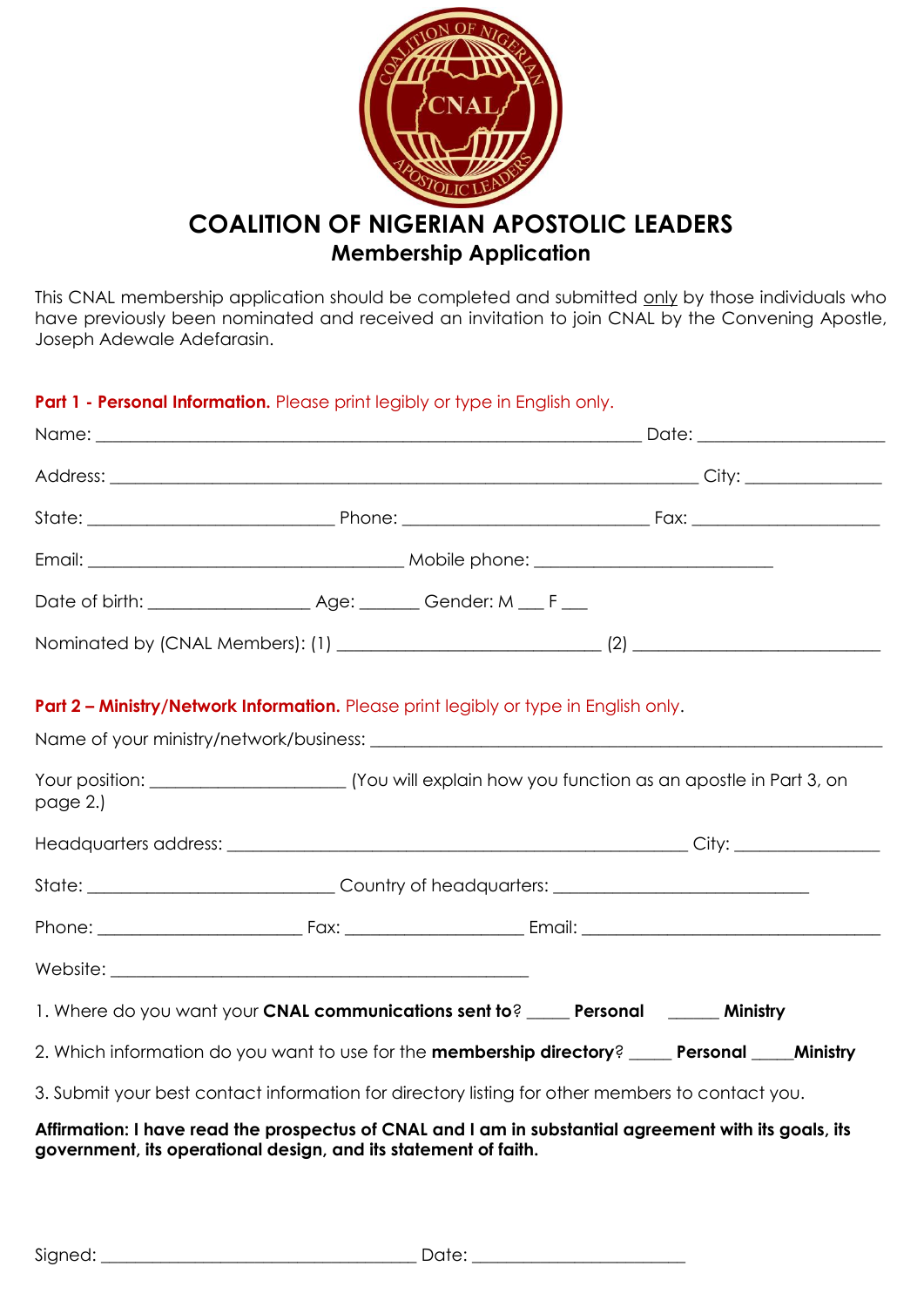

This CNAL membership application should be completed and submitted only by those individuals who have previously been nominated and received an invitation to join CNAL by the Convening Apostle, Joseph Adewale Adefarasin.

**Part 1 - Personal Information.** Please print legibly or type in English only.

|                                                                                                                                                                                                                                | <b>Part 2 - Ministry/Network Information.</b> Please print legibly or type in English only.<br>Name of your ministry/network/business: |  |  |
|--------------------------------------------------------------------------------------------------------------------------------------------------------------------------------------------------------------------------------|----------------------------------------------------------------------------------------------------------------------------------------|--|--|
| page 2.)                                                                                                                                                                                                                       |                                                                                                                                        |  |  |
|                                                                                                                                                                                                                                |                                                                                                                                        |  |  |
|                                                                                                                                                                                                                                | State: ________________________________Country of headquarters: ___________________________________                                    |  |  |
|                                                                                                                                                                                                                                |                                                                                                                                        |  |  |
| Website: New York Product of the Contract of the Contract of the Contract of the Contract of the Contract of the Contract of the Contract of the Contract of the Contract of the Contract of the Contract of the Contract of t |                                                                                                                                        |  |  |
|                                                                                                                                                                                                                                | 1. Where do you want your CNAL communications sent to? _____ Personal ______ Ministry                                                  |  |  |
|                                                                                                                                                                                                                                | 2. Which information do you want to use for the membership directory? _____ Personal _____ Ministry                                    |  |  |
|                                                                                                                                                                                                                                | 3. Submit your best contact information for directory listing for other members to contact you.                                        |  |  |
|                                                                                                                                                                                                                                | Affirmation: I have read the prospectus of CNAL and I am in substantial agreement with its goals, its                                  |  |  |

**government, its operational design, and its statement of faith.**